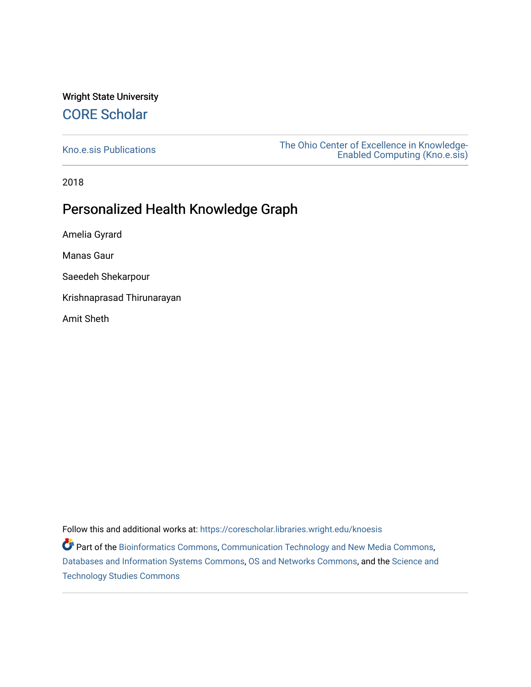# Wright State University [CORE Scholar](https://corescholar.libraries.wright.edu/)

[Kno.e.sis Publications](https://corescholar.libraries.wright.edu/knoesis) [The Ohio Center of Excellence in Knowledge-](https://corescholar.libraries.wright.edu/knoesis_comm)[Enabled Computing \(Kno.e.sis\)](https://corescholar.libraries.wright.edu/knoesis_comm) 

2018

# Personalized Health Knowledge Graph

Amelia Gyrard

Manas Gaur

Saeedeh Shekarpour

Krishnaprasad Thirunarayan

Amit Sheth

Follow this and additional works at: [https://corescholar.libraries.wright.edu/knoesis](https://corescholar.libraries.wright.edu/knoesis?utm_source=corescholar.libraries.wright.edu%2Fknoesis%2F1173&utm_medium=PDF&utm_campaign=PDFCoverPages) 

**P** Part of the [Bioinformatics Commons,](http://network.bepress.com/hgg/discipline/110?utm_source=corescholar.libraries.wright.edu%2Fknoesis%2F1173&utm_medium=PDF&utm_campaign=PDFCoverPages) [Communication Technology and New Media Commons,](http://network.bepress.com/hgg/discipline/327?utm_source=corescholar.libraries.wright.edu%2Fknoesis%2F1173&utm_medium=PDF&utm_campaign=PDFCoverPages) [Databases and Information Systems Commons](http://network.bepress.com/hgg/discipline/145?utm_source=corescholar.libraries.wright.edu%2Fknoesis%2F1173&utm_medium=PDF&utm_campaign=PDFCoverPages), [OS and Networks Commons](http://network.bepress.com/hgg/discipline/149?utm_source=corescholar.libraries.wright.edu%2Fknoesis%2F1173&utm_medium=PDF&utm_campaign=PDFCoverPages), and the [Science and](http://network.bepress.com/hgg/discipline/435?utm_source=corescholar.libraries.wright.edu%2Fknoesis%2F1173&utm_medium=PDF&utm_campaign=PDFCoverPages) [Technology Studies Commons](http://network.bepress.com/hgg/discipline/435?utm_source=corescholar.libraries.wright.edu%2Fknoesis%2F1173&utm_medium=PDF&utm_campaign=PDFCoverPages)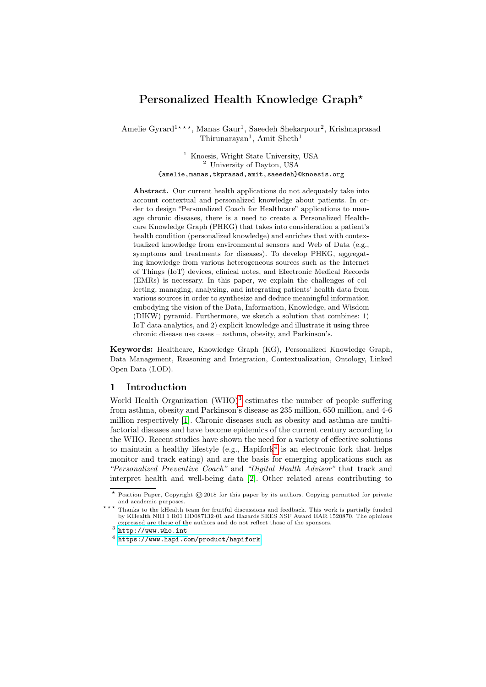# Personalized Health Knowledge Graph\*

Amelie Gyrard<sup>1\*\*\*</sup>, Manas Gaur<sup>1</sup>, Saeedeh Shekarpour<sup>2</sup>, Krishnaprasad Thirunarayan<sup>1</sup>, Amit Sheth<sup>1</sup>

> <sup>1</sup> Knoesis, Wright State University, USA <sup>2</sup> University of Dayton, USA {amelie,manas,tkprasad,amit,saeedeh}@knoesis.org

Abstract. Our current health applications do not adequately take into account contextual and personalized knowledge about patients. In order to design "Personalized Coach for Healthcare" applications to manage chronic diseases, there is a need to create a Personalized Healthcare Knowledge Graph (PHKG) that takes into consideration a patient's health condition (personalized knowledge) and enriches that with contextualized knowledge from environmental sensors and Web of Data (e.g., symptoms and treatments for diseases). To develop PHKG, aggregating knowledge from various heterogeneous sources such as the Internet of Things (IoT) devices, clinical notes, and Electronic Medical Records (EMRs) is necessary. In this paper, we explain the challenges of collecting, managing, analyzing, and integrating patients' health data from various sources in order to synthesize and deduce meaningful information embodying the vision of the Data, Information, Knowledge, and Wisdom (DIKW) pyramid. Furthermore, we sketch a solution that combines: 1) IoT data analytics, and 2) explicit knowledge and illustrate it using three chronic disease use cases – asthma, obesity, and Parkinson's.

Keywords: Healthcare, Knowledge Graph (KG), Personalized Knowledge Graph, Data Management, Reasoning and Integration, Contextualization, Ontology, Linked Open Data (LOD).

### 1 Introduction

World Health Organization (WHO)<sup>[3](#page-1-0)</sup> estimates the number of people suffering from asthma, obesity and Parkinson's disease as 235 million, 650 million, and 4-6 million respectively [\[1\]](#page-6-0). Chronic diseases such as obesity and asthma are multifactorial diseases and have become epidemics of the current century according to the WHO. Recent studies have shown the need for a variety of effective solutions to maintain a healthy lifestyle (e.g.,  $\text{Hapifork}^4$  $\text{Hapifork}^4$  is an electronic fork that helps monitor and track eating) and are the basis for emerging applications such as "Personalized Preventive Coach" and "Digital Health Advisor" that track and interpret health and well-being data [\[2\]](#page-6-1). Other related areas contributing to

<sup>\*</sup> Position Paper, Copyright  $\odot$  2018 for this paper by its authors. Copying permitted for private and academic purposes.

<sup>\*\*\*</sup> Thanks to the kHealth team for fruitful discussions and feedback. This work is partially funded by KHealth NIH 1 R01 HD087132-01 and Hazards SEES NSF Award EAR 1520870. The opinions expressed are those of the authors and do not reflect those of the sponsors.

<span id="page-1-0"></span> $^3$  <http://www.who.int>

<span id="page-1-1"></span><sup>4</sup> <https://www.hapi.com/product/hapifork>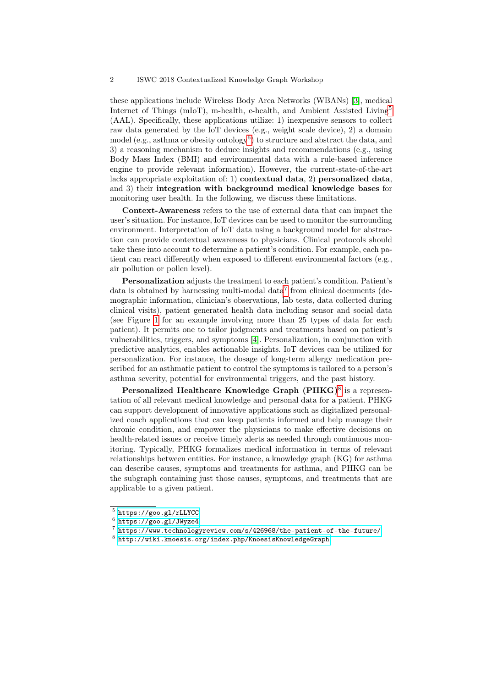these applications include Wireless Body Area Networks (WBANs) [\[3\]](#page-6-2), medical Internet of Things (mIoT), m-health, e-health, and Ambient Assisted Living[5](#page-2-0) (AAL). Specifically, these applications utilize: 1) inexpensive sensors to collect raw data generated by the IoT devices (e.g., weight scale device), 2) a domain model (e.g., asthma or obesity ontology<sup>[6](#page-2-1)</sup>) to structure and abstract the data, and 3) a reasoning mechanism to deduce insights and recommendations (e.g., using Body Mass Index (BMI) and environmental data with a rule-based inference engine to provide relevant information). However, the current-state-of-the-art lacks appropriate exploitation of: 1) contextual data, 2) personalized data, and 3) their integration with background medical knowledge bases for monitoring user health. In the following, we discuss these limitations.

Context-Awareness refers to the use of external data that can impact the user's situation. For instance, IoT devices can be used to monitor the surrounding environment. Interpretation of IoT data using a background model for abstraction can provide contextual awareness to physicians. Clinical protocols should take these into account to determine a patient's condition. For example, each patient can react differently when exposed to different environmental factors (e.g., air pollution or pollen level).

Personalization adjusts the treatment to each patient's condition. Patient's data is obtained by harnessing multi-modal data<sup>[7](#page-2-2)</sup> from clinical documents (demographic information, clinician's observations, lab tests, data collected during clinical visits), patient generated health data including sensor and social data (see Figure [1](#page-4-0) for an example involving more than 25 types of data for each patient). It permits one to tailor judgments and treatments based on patient's vulnerabilities, triggers, and symptoms [\[4\]](#page-6-3). Personalization, in conjunction with predictive analytics, enables actionable insights. IoT devices can be utilized for personalization. For instance, the dosage of long-term allergy medication prescribed for an asthmatic patient to control the symptoms is tailored to a person's asthma severity, potential for environmental triggers, and the past history.

Personalized Healthcare Knowledge Graph (PHKG)<sup>[8](#page-2-3)</sup> is a representation of all relevant medical knowledge and personal data for a patient. PHKG can support development of innovative applications such as digitalized personalized coach applications that can keep patients informed and help manage their chronic condition, and empower the physicians to make effective decisions on health-related issues or receive timely alerts as needed through continuous monitoring. Typically, PHKG formalizes medical information in terms of relevant relationships between entities. For instance, a knowledge graph (KG) for asthma can describe causes, symptoms and treatments for asthma, and PHKG can be the subgraph containing just those causes, symptoms, and treatments that are applicable to a given patient.

<span id="page-2-0"></span><sup>5</sup> <https://goo.gl/rLLYCC>

<span id="page-2-1"></span> $^6$  <https://goo.gl/JWyze4>

<span id="page-2-2"></span> $^7$  <https://www.technologyreview.com/s/426968/the-patient-of-the-future/>

<span id="page-2-3"></span> $^8$ <http://wiki.knoesis.org/index.php/KnoesisKnowledgeGraph>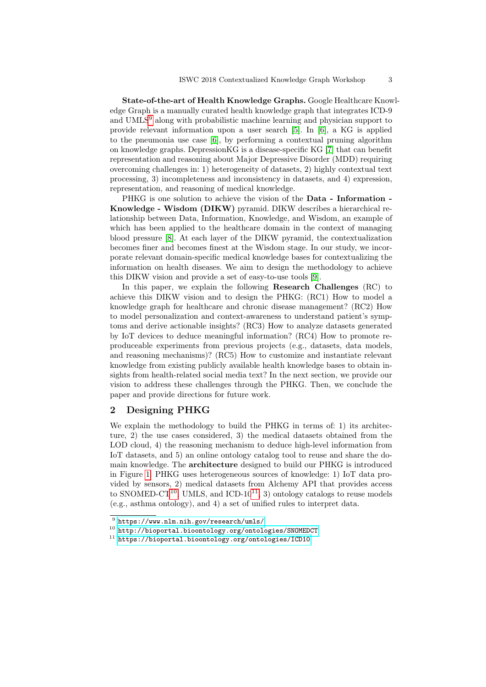State-of-the-art of Health Knowledge Graphs. Google Healthcare Knowledge Graph is a manually curated health knowledge graph that integrates ICD-9 and UMLS<sup>[9](#page-3-0)</sup> along with probabilistic machine learning and physician support to provide relevant information upon a user search [\[5\]](#page-6-4). In [\[6\]](#page-6-5), a KG is applied to the pneumonia use case [\[6\]](#page-6-5), by performing a contextual pruning algorithm on knowledge graphs. DepressionKG is a disease-specific KG [\[7\]](#page-6-6) that can benefit representation and reasoning about Major Depressive Disorder (MDD) requiring overcoming challenges in: 1) heterogeneity of datasets, 2) highly contextual text processing, 3) incompleteness and inconsistency in datasets, and 4) expression, representation, and reasoning of medical knowledge.

PHKG is one solution to achieve the vision of the Data - Information - Knowledge - Wisdom (DIKW) pyramid. DIKW describes a hierarchical relationship between Data, Information, Knowledge, and Wisdom, an example of which has been applied to the healthcare domain in the context of managing blood pressure [\[8\]](#page-6-7). At each layer of the DIKW pyramid, the contextualization becomes finer and becomes finest at the Wisdom stage. In our study, we incorporate relevant domain-specific medical knowledge bases for contextualizing the information on health diseases. We aim to design the methodology to achieve this DIKW vision and provide a set of easy-to-use tools [\[9\]](#page-6-8).

In this paper, we explain the following Research Challenges (RC) to achieve this DIKW vision and to design the PHKG: (RC1) How to model a knowledge graph for healthcare and chronic disease management? (RC2) How to model personalization and context-awareness to understand patient's symptoms and derive actionable insights? (RC3) How to analyze datasets generated by IoT devices to deduce meaningful information? (RC4) How to promote reproduceable experiments from previous projects (e.g., datasets, data models, and reasoning mechanisms)? (RC5) How to customize and instantiate relevant knowledge from existing publicly available health knowledge bases to obtain insights from health-related social media text? In the next section, we provide our vision to address these challenges through the PHKG. Then, we conclude the paper and provide directions for future work.

## 2 Designing PHKG

We explain the methodology to build the PHKG in terms of: 1) its architecture, 2) the use cases considered, 3) the medical datasets obtained from the LOD cloud, 4) the reasoning mechanism to deduce high-level information from IoT datasets, and 5) an online ontology catalog tool to reuse and share the domain knowledge. The architecture designed to build our PHKG is introduced in Figure [1.](#page-4-0) PHKG uses heterogeneous sources of knowledge: 1) IoT data provided by sensors, 2) medical datasets from Alchemy API that provides access to SNOMED-CT<sup>[10](#page-3-1)</sup>, UMLS, and ICD-10<sup>[11](#page-3-2)</sup>, 3) ontology catalogs to reuse models (e.g., asthma ontology), and 4) a set of unified rules to interpret data.

<span id="page-3-1"></span><span id="page-3-0"></span> $^9$  <https://www.nlm.nih.gov/research/umls/>

<sup>10</sup> <http://bioportal.bioontology.org/ontologies/SNOMEDCT>

<span id="page-3-2"></span><sup>11</sup> <https://bioportal.bioontology.org/ontologies/ICD10>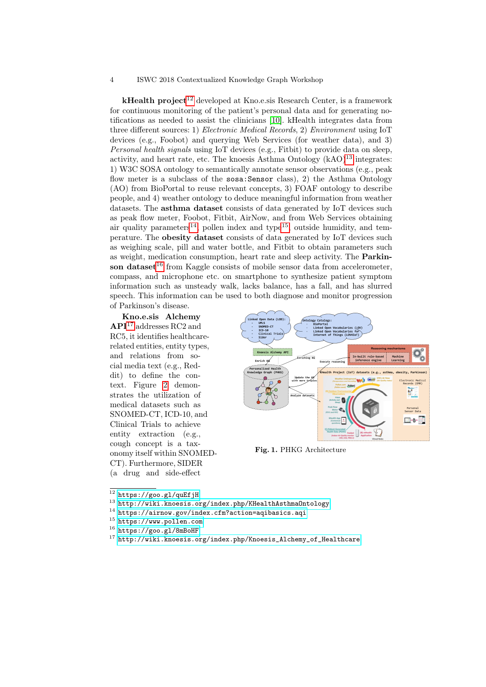#### 4 ISWC 2018 Contextualized Knowledge Graph Workshop

 $kHealth$  project<sup>[12](#page-4-1)</sup> developed at Kno.e.sis Research Center, is a framework for continuous monitoring of the patient's personal data and for generating notifications as needed to assist the clinicians [\[10\]](#page-6-9). kHealth integrates data from three different sources: 1) Electronic Medical Records, 2) Environment using IoT devices (e.g., Foobot) and querying Web Services (for weather data), and 3) Personal health signals using IoT devices (e.g., Fitbit) to provide data on sleep, activity, and heart rate, etc. The knoesis Asthma Ontology  $(kAO)^{13}$  $(kAO)^{13}$  $(kAO)^{13}$  integrates: 1) W3C SOSA ontology to semantically annotate sensor observations (e.g., peak flow meter is a subclass of the sosa:Sensor class), 2) the Asthma Ontology (AO) from BioPortal to reuse relevant concepts, 3) FOAF ontology to describe people, and 4) weather ontology to deduce meaningful information from weather datasets. The asthma dataset consists of data generated by IoT devices such as peak flow meter, Foobot, Fitbit, AirNow, and from Web Services obtaining air quality parameters<sup>[14](#page-4-3)</sup>, pollen index and type<sup>[15](#page-4-4)</sup>, outside humidity, and temperature. The obesity dataset consists of data generated by IoT devices such as weighing scale, pill and water bottle, and Fitbit to obtain parameters such as weight, medication consumption, heart rate and sleep activity. The Parkin-son dataset<sup>[16](#page-4-5)</sup> from Kaggle consists of mobile sensor data from accelerometer, compass, and microphone etc. on smartphone to synthesize patient symptom information such as unsteady walk, lacks balance, has a fall, and has slurred speech. This information can be used to both diagnose and monitor progression of Parkinson's disease.

Kno.e.sis Alchemy  $\mathbf{API}^{17}$  $\mathbf{API}^{17}$  $\mathbf{API}^{17}$  addresses RC2 and RC5, it identifies healthcarerelated entities, entity types, and relations from social media text (e.g., Reddit) to define the context. Figure [2](#page-5-0) demonstrates the utilization of medical datasets such as SNOMED-CT, ICD-10, and Clinical Trials to achieve entity extraction (e.g., cough concept is a taxonomy itself within SNOMED-CT). Furthermore, SIDER (a drug and side-effect



<span id="page-4-0"></span>Fig. 1. PHKG Architecture

- <span id="page-4-4"></span><sup>15</sup> <https://www.pollen.com>
- <span id="page-4-5"></span><sup>16</sup> <https://goo.gl/8mBoHF>

<span id="page-4-1"></span> $\overline{\text{12} \text{ https://goo.gl/quEf}}$ 

<span id="page-4-2"></span><sup>13</sup> <http://wiki.knoesis.org/index.php/KHealthAsthmaOntology>

<span id="page-4-3"></span><sup>14</sup> <https://airnow.gov/index.cfm?action=aqibasics.aqi>

<span id="page-4-6"></span><sup>17</sup> [http://wiki.knoesis.org/index.php/Knoesis\\_Alchemy\\_of\\_Healthcare](http://wiki.knoesis.org/index.php/Knoesis_Alchemy_of_Healthcare)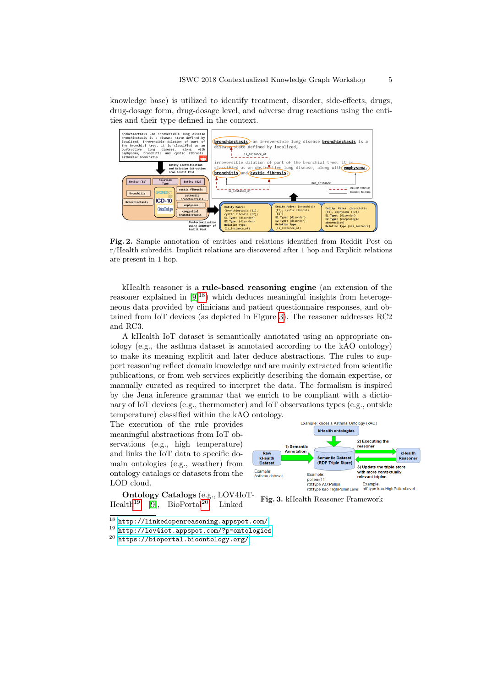knowledge base) is utilized to identify treatment, disorder, side-effects, drugs, drug-dosage form, drug-dosage level, and adverse drug reactions using the entities and their type defined in the context.



<span id="page-5-0"></span>Fig. 2. Sample annotation of entities and relations identified from Reddit Post on r/Health subreddit. Implicit relations are discovered after 1 hop and Explicit relations are present in 1 hop.

kHealth reasoner is a rule-based reasoning engine (an extension of the reasoner explained in  $[9]^{18}$  $[9]^{18}$  $[9]^{18}$  $[9]^{18}$ ) which deduces meaningful insights from heterogeneous data provided by clinicians and patient questionnaire responses, and obtained from IoT devices (as depicted in Figure [3\)](#page-5-2). The reasoner addresses RC2 and RC3.

A kHealth IoT dataset is semantically annotated using an appropriate ontology (e.g., the asthma dataset is annotated according to the kAO ontology) to make its meaning explicit and later deduce abstractions. The rules to support reasoning reflect domain knowledge and are mainly extracted from scientific publications, or from web services explicitly describing the domain expertise, or manually curated as required to interpret the data. The formalism is inspired by the Jena inference grammar that we enrich to be compliant with a dictionary of IoT devices (e.g., thermometer) and IoT observations types (e.g., outside temperature) classified within the kAO ontology.

The execution of the rule provides meaningful abstractions from IoT observations (e.g., high temperature) and links the IoT data to specific domain ontologies (e.g., weather) from ontology catalogs or datasets from the LOD cloud.

Ontology Catalogs (e.g., LOV4IoT-Health<sup>[19](#page-5-3)</sup> [\[9\]](#page-6-8), BioPortal<sup>[20](#page-5-4)</sup>, Linked



<span id="page-5-2"></span>Fig. 3. kHealth Reasoner Framework

<span id="page-5-1"></span> $\overline{^{18}$  <http://linkedopenreasoning.appspot.com/>

<span id="page-5-3"></span><sup>19</sup> <http://lov4iot.appspot.com/?p=ontologies>

<span id="page-5-4"></span><sup>20</sup> <https://bioportal.bioontology.org/>